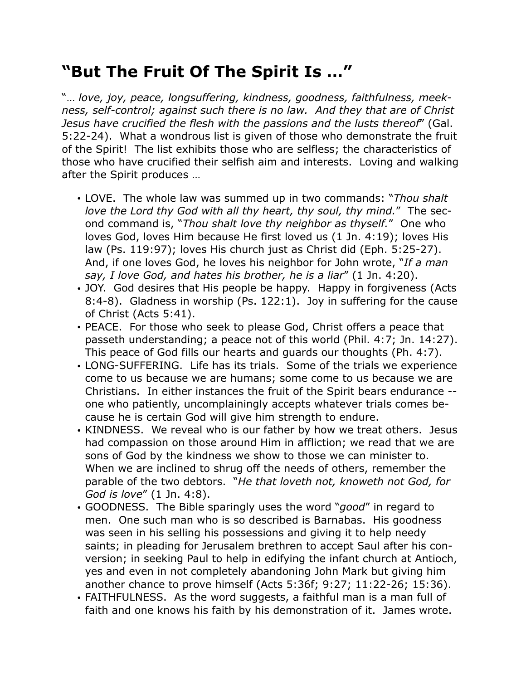## **"But The Fruit Of The Spirit Is …"**

"… *love, joy, peace, longsuffering, kindness, goodness, faithfulness, meekness, self-control; against such there is no law. And they that are of Christ Jesus have crucified the flesh with the passions and the lusts thereof*" (Gal. 5:22-24). What a wondrous list is given of those who demonstrate the fruit of the Spirit! The list exhibits those who are selfless; the characteristics of those who have crucified their selfish aim and interests. Loving and walking after the Spirit produces …

- LOVE. The whole law was summed up in two commands: "*Thou shalt love the Lord thy God with all thy heart, thy soul, thy mind.*" The second command is, "*Thou shalt love thy neighbor as thyself.*" One who loves God, loves Him because He first loved us (1 Jn. 4:19); loves His law (Ps. 119:97); loves His church just as Christ did (Eph. 5:25-27). And, if one loves God, he loves his neighbor for John wrote, "*If a man say, I love God, and hates his brother, he is a liar*" (1 Jn. 4:20).
- JOY. God desires that His people be happy. Happy in forgiveness (Acts 8:4-8). Gladness in worship (Ps. 122:1). Joy in suffering for the cause of Christ (Acts 5:41).
- PEACE. For those who seek to please God, Christ offers a peace that passeth understanding; a peace not of this world (Phil. 4:7; Jn. 14:27). This peace of God fills our hearts and guards our thoughts (Ph. 4:7).
- LONG-SUFFERING. Life has its trials. Some of the trials we experience come to us because we are humans; some come to us because we are Christians. In either instances the fruit of the Spirit bears endurance - one who patiently, uncomplainingly accepts whatever trials comes because he is certain God will give him strength to endure.
- KINDNESS. We reveal who is our father by how we treat others. Jesus had compassion on those around Him in affliction; we read that we are sons of God by the kindness we show to those we can minister to. When we are inclined to shrug off the needs of others, remember the parable of the two debtors. "*He that loveth not, knoweth not God, for God is love*" (1 Jn. 4:8).
- GOODNESS. The Bible sparingly uses the word "*good*" in regard to men. One such man who is so described is Barnabas. His goodness was seen in his selling his possessions and giving it to help needy saints; in pleading for Jerusalem brethren to accept Saul after his conversion; in seeking Paul to help in edifying the infant church at Antioch, yes and even in not completely abandoning John Mark but giving him another chance to prove himself (Acts 5:36f; 9:27; 11:22-26; 15:36).
- FAITHFULNESS. As the word suggests, a faithful man is a man full of faith and one knows his faith by his demonstration of it. James wrote.